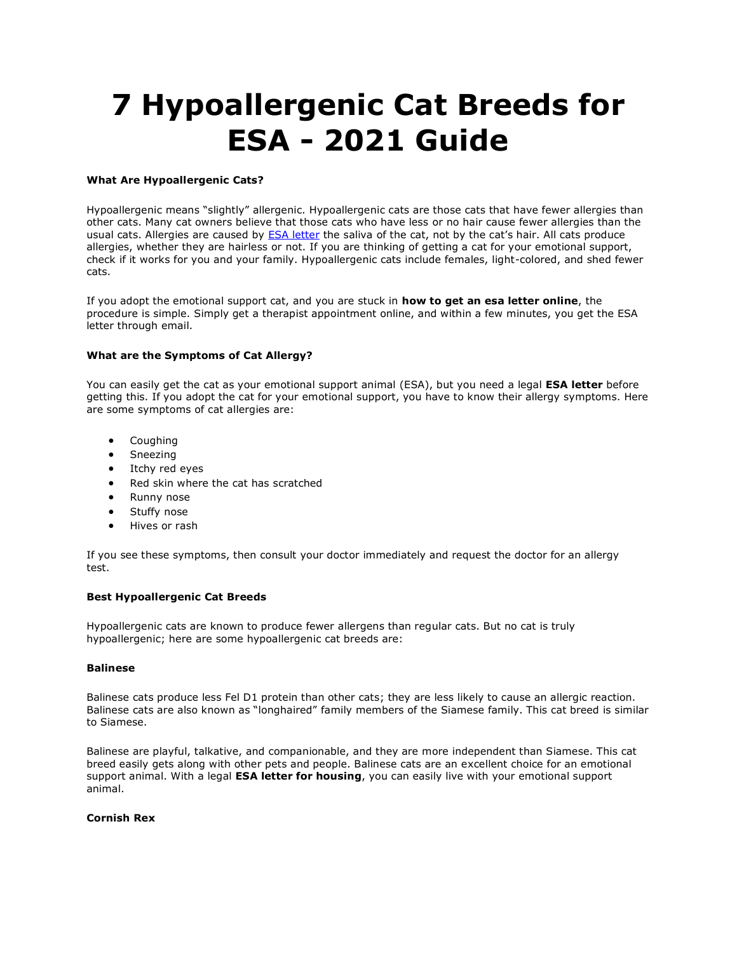# **7 Hypoallergenic Cat Breeds for ESA - 2021 Guide**

## **What Are Hypoallergenic Cats?**

Hypoallergenic means "slightly" allergenic. Hypoallergenic cats are those cats that have fewer allergies than other cats. Many cat owners believe that those cats who have less or no hair cause fewer allergies than the usual cats. Allergies are caused by [ESA letter](https://www.realesaletter.com/sample-esa-letter) the saliva of the cat, not by the cat's hair. All cats produce allergies, whether they are hairless or not. If you are thinking of getting a cat for your emotional support, check if it works for you and your family. Hypoallergenic cats include females, light-colored, and shed fewer cats.

If you adopt the emotional support cat, and you are stuck in **how to get an esa letter online**, the procedure is simple. Simply get a therapist appointment online, and within a few minutes, you get the ESA letter through email.

## **What are the Symptoms of Cat Allergy?**

You can easily get the cat as your emotional support animal (ESA), but you need a legal **ESA letter** before getting this. If you adopt the cat for your emotional support, you have to know their allergy symptoms. Here are some symptoms of cat allergies are:

- Coughing
- Sneezing
- Itchy red eyes
- Red skin where the cat has scratched
- Runny nose
- Stuffy nose
- Hives or rash

If you see these symptoms, then consult your doctor immediately and request the doctor for an allergy test.

#### **Best Hypoallergenic Cat Breeds**

Hypoallergenic cats are known to produce fewer allergens than regular cats. But no cat is truly hypoallergenic; here are some hypoallergenic cat breeds are:

## **Balinese**

Balinese cats produce less Fel D1 protein than other cats; they are less likely to cause an allergic reaction. Balinese cats are also known as "longhaired" family members of the Siamese family. This cat breed is similar to Siamese.

Balinese are playful, talkative, and companionable, and they are more independent than Siamese. This cat breed easily gets along with other pets and people. Balinese cats are an excellent choice for an emotional support animal. With a legal **ESA letter for housing**, you can easily live with your emotional support animal.

### **Cornish Rex**